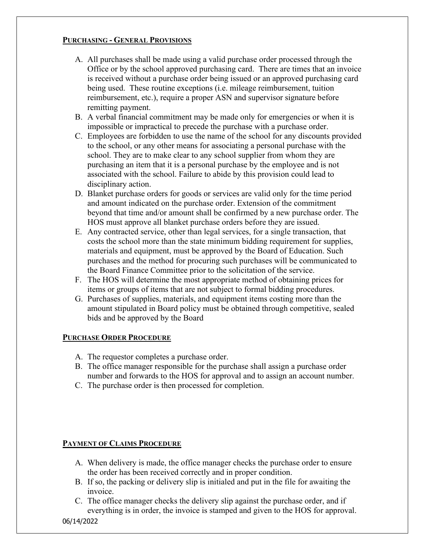### **PURCHASING - GENERAL PROVISIONS**

- A. All purchases shall be made using a valid purchase order processed through the Office or by the school approved purchasing card. There are times that an invoice is received without a purchase order being issued or an approved purchasing card being used. These routine exceptions (i.e. mileage reimbursement, tuition reimbursement, etc.), require a proper ASN and supervisor signature before remitting payment.
- B. A verbal financial commitment may be made only for emergencies or when it is impossible or impractical to precede the purchase with a purchase order.
- C. Employees are forbidden to use the name of the school for any discounts provided to the school, or any other means for associating a personal purchase with the school. They are to make clear to any school supplier from whom they are purchasing an item that it is a personal purchase by the employee and is not associated with the school. Failure to abide by this provision could lead to disciplinary action.
- D. Blanket purchase orders for goods or services are valid only for the time period and amount indicated on the purchase order. Extension of the commitment beyond that time and/or amount shall be confirmed by a new purchase order. The HOS must approve all blanket purchase orders before they are issued.
- E. Any contracted service, other than legal services, for a single transaction, that costs the school more than the state minimum bidding requirement for supplies, materials and equipment, must be approved by the Board of Education. Such purchases and the method for procuring such purchases will be communicated to the Board Finance Committee prior to the solicitation of the service.
- F. The HOS will determine the most appropriate method of obtaining prices for items or groups of items that are not subject to formal bidding procedures.
- G. Purchases of supplies, materials, and equipment items costing more than the amount stipulated in Board policy must be obtained through competitive, sealed bids and be approved by the Board

# **PURCHASE ORDER PROCEDURE**

- A. The requestor completes a purchase order.
- B. The office manager responsible for the purchase shall assign a purchase order number and forwards to the HOS for approval and to assign an account number.
- C. The purchase order is then processed for completion.

# **PAYMENT OF CLAIMS PROCEDURE**

- A. When delivery is made, the office manager checks the purchase order to ensure the order has been received correctly and in proper condition.
- B. If so, the packing or delivery slip is initialed and put in the file for awaiting the invoice.
- C. The office manager checks the delivery slip against the purchase order, and if everything is in order, the invoice is stamped and given to the HOS for approval.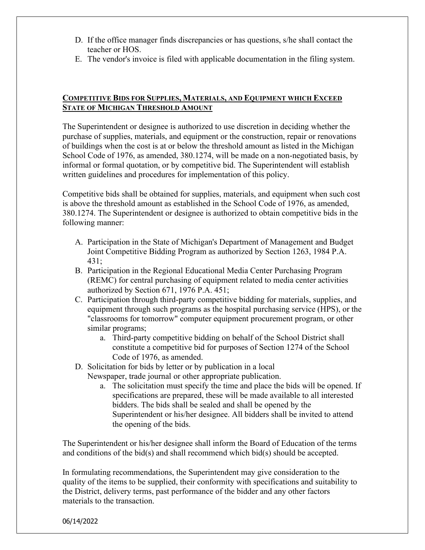- D. If the office manager finds discrepancies or has questions, s/he shall contact the teacher or HOS.
- E. The vendor's invoice is filed with applicable documentation in the filing system.

### **COMPETITIVE BIDS FOR SUPPLIES, MATERIALS, AND EQUIPMENT WHICH EXCEED STATE OF MICHIGAN THRESHOLD AMOUNT**

The Superintendent or designee is authorized to use discretion in deciding whether the purchase of supplies, materials, and equipment or the construction, repair or renovations of buildings when the cost is at or below the threshold amount as listed in the Michigan School Code of 1976, as amended, 380.1274, will be made on a non-negotiated basis, by informal or formal quotation, or by competitive bid. The Superintendent will establish written guidelines and procedures for implementation of this policy.

Competitive bids shall be obtained for supplies, materials, and equipment when such cost is above the threshold amount as established in the School Code of 1976, as amended, 380.1274. The Superintendent or designee is authorized to obtain competitive bids in the following manner:

- A. Participation in the State of Michigan's Department of Management and Budget Joint Competitive Bidding Program as authorized by Section 1263, 1984 P.A. 431;
- B. Participation in the Regional Educational Media Center Purchasing Program (REMC) for central purchasing of equipment related to media center activities authorized by Section 671, 1976 P.A. 451;
- C. Participation through third-party competitive bidding for materials, supplies, and equipment through such programs as the hospital purchasing service (HPS), or the "classrooms for tomorrow" computer equipment procurement program, or other similar programs;
	- a. Third-party competitive bidding on behalf of the School District shall constitute a competitive bid for purposes of Section 1274 of the School Code of 1976, as amended.
- D. Solicitation for bids by letter or by publication in a local
	- Newspaper, trade journal or other appropriate publication.
		- a. The solicitation must specify the time and place the bids will be opened. If specifications are prepared, these will be made available to all interested bidders. The bids shall be sealed and shall be opened by the Superintendent or his/her designee. All bidders shall be invited to attend the opening of the bids.

The Superintendent or his/her designee shall inform the Board of Education of the terms and conditions of the bid(s) and shall recommend which bid(s) should be accepted.

In formulating recommendations, the Superintendent may give consideration to the quality of the items to be supplied, their conformity with specifications and suitability to the District, delivery terms, past performance of the bidder and any other factors materials to the transaction.

06/14/2022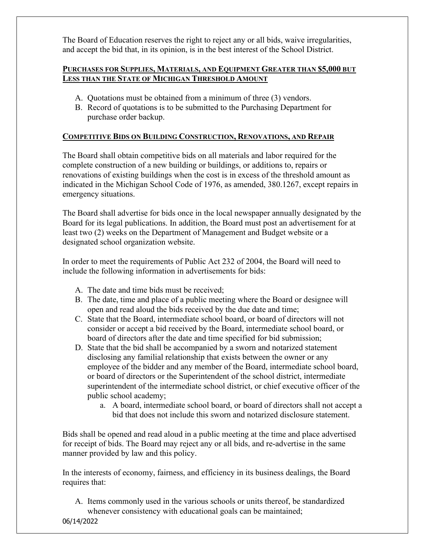The Board of Education reserves the right to reject any or all bids, waive irregularities, and accept the bid that, in its opinion, is in the best interest of the School District.

### **PURCHASES FOR SUPPLIES, MATERIALS, AND EQUIPMENT GREATER THAN \$5,000 BUT LESS THAN THE STATE OF MICHIGAN THRESHOLD AMOUNT**

- A. Quotations must be obtained from a minimum of three (3) vendors.
- B. Record of quotations is to be submitted to the Purchasing Department for purchase order backup.

# **COMPETITIVE BIDS ON BUILDING CONSTRUCTION, RENOVATIONS, AND REPAIR**

The Board shall obtain competitive bids on all materials and labor required for the complete construction of a new building or buildings, or additions to, repairs or renovations of existing buildings when the cost is in excess of the threshold amount as indicated in the Michigan School Code of 1976, as amended, 380.1267, except repairs in emergency situations.

The Board shall advertise for bids once in the local newspaper annually designated by the Board for its legal publications. In addition, the Board must post an advertisement for at least two (2) weeks on the Department of Management and Budget website or a designated school organization website.

In order to meet the requirements of Public Act 232 of 2004, the Board will need to include the following information in advertisements for bids:

- A. The date and time bids must be received;
- B. The date, time and place of a public meeting where the Board or designee will open and read aloud the bids received by the due date and time;
- C. State that the Board, intermediate school board, or board of directors will not consider or accept a bid received by the Board, intermediate school board, or board of directors after the date and time specified for bid submission;
- D. State that the bid shall be accompanied by a sworn and notarized statement disclosing any familial relationship that exists between the owner or any employee of the bidder and any member of the Board, intermediate school board, or board of directors or the Superintendent of the school district, intermediate superintendent of the intermediate school district, or chief executive officer of the public school academy;
	- a. A board, intermediate school board, or board of directors shall not accept a bid that does not include this sworn and notarized disclosure statement.

Bids shall be opened and read aloud in a public meeting at the time and place advertised for receipt of bids. The Board may reject any or all bids, and re-advertise in the same manner provided by law and this policy.

In the interests of economy, fairness, and efficiency in its business dealings, the Board requires that:

A. Items commonly used in the various schools or units thereof, be standardized whenever consistency with educational goals can be maintained;

06/14/2022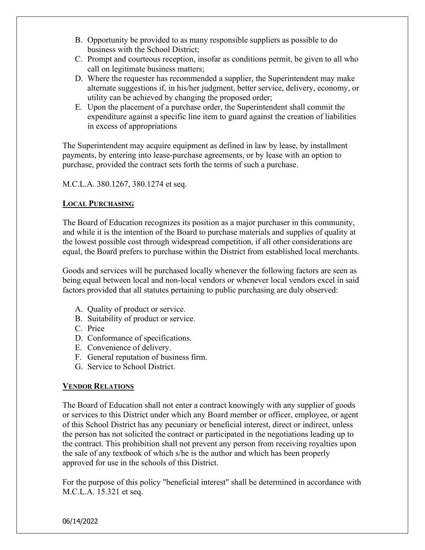- B. Opportunity be provided to as many responsible suppliers as possible to do business with the School District;
- C. Prompt and courteous reception, insofar as conditions permit, be given to all who call on legitimate business matters;
- D. Where the requester has recommended a supplier, the Superintendent may make alternate suggestions if, in his/her judgment, better service, delivery, economy, or utility can be achieved by changing the proposed order;
- E. Upon the placement of a purchase order, the Superintendent shall commit the expenditure against a specific line item to guard against the creation of liabilities in excess of appropriations

The Superintendent may acquire equipment as defined in law by lease, by installment payments, by entering into lease-purchase agreements, or by lease with an option to purchase, provided the contract sets forth the terms of such a purchase.

M.C.L.A. 380.1267, 380.1274 et seq.

#### **LOCAL PURCHASING**

The Board of Education recognizes its position as a major purchaser in this community, and while it is the intention of the Board to purchase materials and supplies of quality at the lowest possible cost through widespread competition, if all other considerations are equal, the Board prefers to purchase within the District from established local merchants.

Goods and services will be purchased locally whenever the following factors are seen as being equal between local and non-local vendors or whenever local vendors excel in said factors provided that all statutes pertaining to public purchasing are duly observed:

- A. Quality of product or service.
- B. Suitability of product or service.
- C. Price
- D. Conformance of specifications.
- E. Convenience of delivery.
- F. General reputation of business firm.
- G. Service to School District.

# **VENDOR RELATIONS**

The Board of Education shall not enter a contract knowingly with any supplier of goods or services to this District under which any Board member or officer, employee, or agent of this School District has any pecuniary or beneficial interest, direct or indirect, unless the person has not solicited the contract or participated in the negotiations leading up to the contract. This prohibition shall not prevent any person from receiving royalties upon the sale of any textbook of which s/he is the author and which has been properly approved for use in the schools of this District.

For the purpose of this policy "beneficial interest" shall be determined in accordance with M.C.L.A. 15.321 et seq.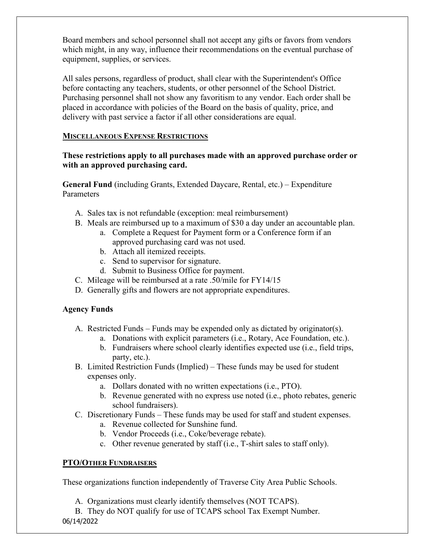Board members and school personnel shall not accept any gifts or favors from vendors which might, in any way, influence their recommendations on the eventual purchase of equipment, supplies, or services.

All sales persons, regardless of product, shall clear with the Superintendent's Office before contacting any teachers, students, or other personnel of the School District. Purchasing personnel shall not show any favoritism to any vendor. Each order shall be placed in accordance with policies of the Board on the basis of quality, price, and delivery with past service a factor if all other considerations are equal.

### **MISCELLANEOUS EXPENSE RESTRICTIONS**

### **These restrictions apply to all purchases made with an approved purchase order or with an approved purchasing card.**

**General Fund** (including Grants, Extended Daycare, Rental, etc.) – Expenditure Parameters

- A. Sales tax is not refundable (exception: meal reimbursement)
- B. Meals are reimbursed up to a maximum of \$30 a day under an accountable plan.
	- a. Complete a Request for Payment form or a Conference form if an approved purchasing card was not used.
	- b. Attach all itemized receipts.
	- c. Send to supervisor for signature.
	- d. Submit to Business Office for payment.
- C. Mileage will be reimbursed at a rate .50/mile for FY14/15
- D. Generally gifts and flowers are not appropriate expenditures.

# **Agency Funds**

- A. Restricted Funds Funds may be expended only as dictated by originator(s).
	- a. Donations with explicit parameters (i.e., Rotary, Ace Foundation, etc.).
	- b. Fundraisers where school clearly identifies expected use (i.e., field trips, party, etc.).
- B. Limited Restriction Funds (Implied) These funds may be used for student expenses only.
	- a. Dollars donated with no written expectations (i.e., PTO).
	- b. Revenue generated with no express use noted (i.e., photo rebates, generic school fundraisers).
- C. Discretionary Funds These funds may be used for staff and student expenses.
	- a. Revenue collected for Sunshine fund.
	- b. Vendor Proceeds (i.e., Coke/beverage rebate).
	- c. Other revenue generated by staff (i.e., T-shirt sales to staff only).

#### **PTO/OTHER FUNDRAISERS**

These organizations function independently of Traverse City Area Public Schools.

- A. Organizations must clearly identify themselves (NOT TCAPS).
- 06/14/2022 B. They do NOT qualify for use of TCAPS school Tax Exempt Number.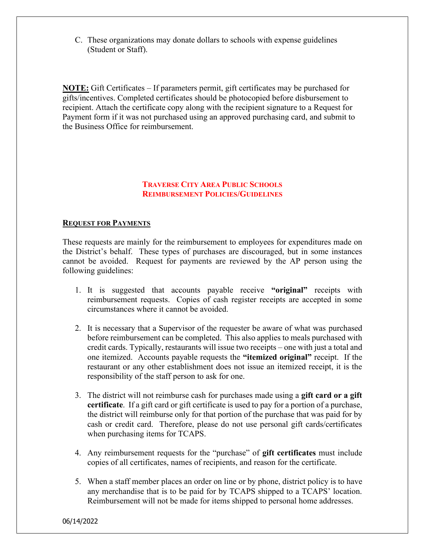C. These organizations may donate dollars to schools with expense guidelines (Student or Staff).

**NOTE:** Gift Certificates – If parameters permit, gift certificates may be purchased for gifts/incentives. Completed certificates should be photocopied before disbursement to recipient. Attach the certificate copy along with the recipient signature to a Request for Payment form if it was not purchased using an approved purchasing card, and submit to the Business Office for reimbursement.

### **TRAVERSE CITY AREA PUBLIC SCHOOLS REIMBURSEMENT POLICIES/GUIDELINES**

#### **REQUEST FOR PAYMENTS**

These requests are mainly for the reimbursement to employees for expenditures made on the District's behalf. These types of purchases are discouraged, but in some instances cannot be avoided. Request for payments are reviewed by the AP person using the following guidelines:

- 1. It is suggested that accounts payable receive **"original"** receipts with reimbursement requests. Copies of cash register receipts are accepted in some circumstances where it cannot be avoided.
- 2. It is necessary that a Supervisor of the requester be aware of what was purchased before reimbursement can be completed. This also applies to meals purchased with credit cards. Typically, restaurants will issue two receipts – one with just a total and one itemized. Accounts payable requests the **"itemized original"** receipt. If the restaurant or any other establishment does not issue an itemized receipt, it is the responsibility of the staff person to ask for one.
- 3. The district will not reimburse cash for purchases made using a **gift card or a gift certificate**. If a gift card or gift certificate is used to pay for a portion of a purchase, the district will reimburse only for that portion of the purchase that was paid for by cash or credit card. Therefore, please do not use personal gift cards/certificates when purchasing items for TCAPS.
- 4. Any reimbursement requests for the "purchase" of **gift certificates** must include copies of all certificates, names of recipients, and reason for the certificate.
- 5. When a staff member places an order on line or by phone, district policy is to have any merchandise that is to be paid for by TCAPS shipped to a TCAPS' location. Reimbursement will not be made for items shipped to personal home addresses.